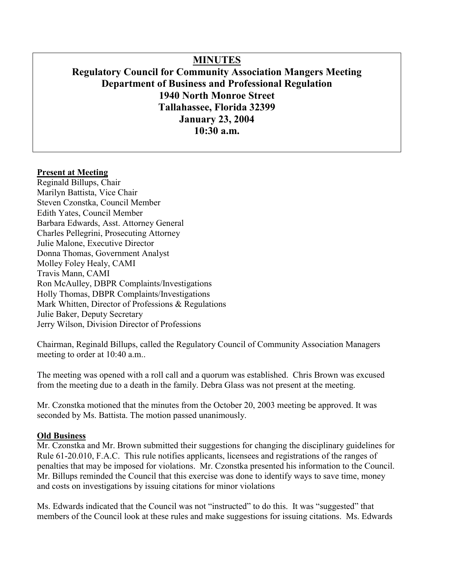# **MINUTES**

# **Regulatory Council for Community Association Mangers Meeting Department of Business and Professional Regulation 1940 North Monroe Street Tallahassee, Florida 32399 January 23, 2004 10:30 a.m.**

#### **Present at Meeting**

Reginald Billups, Chair Marilyn Battista, Vice Chair Steven Czonstka, Council Member Edith Yates, Council Member Barbara Edwards, Asst. Attorney General Charles Pellegrini, Prosecuting Attorney Julie Malone, Executive Director Donna Thomas, Government Analyst Molley Foley Healy, CAMI Travis Mann, CAMI Ron McAulley, DBPR Complaints/Investigations Holly Thomas, DBPR Complaints/Investigations Mark Whitten, Director of Professions & Regulations Julie Baker, Deputy Secretary Jerry Wilson, Division Director of Professions

Chairman, Reginald Billups, called the Regulatory Council of Community Association Managers meeting to order at 10:40 a.m..

The meeting was opened with a roll call and a quorum was established. Chris Brown was excused from the meeting due to a death in the family. Debra Glass was not present at the meeting.

Mr. Czonstka motioned that the minutes from the October 20, 2003 meeting be approved. It was seconded by Ms. Battista. The motion passed unanimously.

#### **Old Business**

Mr. Czonstka and Mr. Brown submitted their suggestions for changing the disciplinary guidelines for Rule 61-20.010, F.A.C. This rule notifies applicants, licensees and registrations of the ranges of penalties that may be imposed for violations. Mr. Czonstka presented his information to the Council. Mr. Billups reminded the Council that this exercise was done to identify ways to save time, money and costs on investigations by issuing citations for minor violations

Ms. Edwards indicated that the Council was not "instructed" to do this. It was "suggested" that members of the Council look at these rules and make suggestions for issuing citations. Ms. Edwards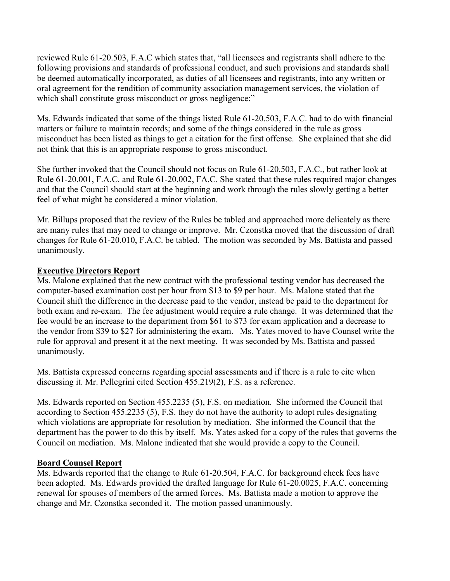reviewed Rule 61-20.503, F.A.C which states that, "all licensees and registrants shall adhere to the following provisions and standards of professional conduct, and such provisions and standards shall be deemed automatically incorporated, as duties of all licensees and registrants, into any written or oral agreement for the rendition of community association management services, the violation of which shall constitute gross misconduct or gross negligence:"

Ms. Edwards indicated that some of the things listed Rule 61-20.503, F.A.C. had to do with financial matters or failure to maintain records; and some of the things considered in the rule as gross misconduct has been listed as things to get a citation for the first offense. She explained that she did not think that this is an appropriate response to gross misconduct.

She further invoked that the Council should not focus on Rule 61-20.503, F.A.C., but rather look at Rule 61-20.001, F.A.C. and Rule 61-20.002, FA.C. She stated that these rules required major changes and that the Council should start at the beginning and work through the rules slowly getting a better feel of what might be considered a minor violation.

Mr. Billups proposed that the review of the Rules be tabled and approached more delicately as there are many rules that may need to change or improve. Mr. Czonstka moved that the discussion of draft changes for Rule 61-20.010, F.A.C. be tabled. The motion was seconded by Ms. Battista and passed unanimously.

# **Executive Directors Report**

Ms. Malone explained that the new contract with the professional testing vendor has decreased the computer-based examination cost per hour from \$13 to \$9 per hour. Ms. Malone stated that the Council shift the difference in the decrease paid to the vendor, instead be paid to the department for both exam and re-exam. The fee adjustment would require a rule change. It was determined that the fee would be an increase to the department from \$61 to \$73 for exam application and a decrease to the vendor from \$39 to \$27 for administering the exam. Ms. Yates moved to have Counsel write the rule for approval and present it at the next meeting. It was seconded by Ms. Battista and passed unanimously.

Ms. Battista expressed concerns regarding special assessments and if there is a rule to cite when discussing it. Mr. Pellegrini cited Section 455.219(2), F.S. as a reference.

Ms. Edwards reported on Section 455.2235 (5), F.S. on mediation. She informed the Council that according to Section 455.2235 (5), F.S. they do not have the authority to adopt rules designating which violations are appropriate for resolution by mediation. She informed the Council that the department has the power to do this by itself. Ms. Yates asked for a copy of the rules that governs the Council on mediation. Ms. Malone indicated that she would provide a copy to the Council.

#### **Board Counsel Report**

Ms. Edwards reported that the change to Rule 61-20.504, F.A.C. for background check fees have been adopted. Ms. Edwards provided the drafted language for Rule 61-20.0025, F.A.C. concerning renewal for spouses of members of the armed forces. Ms. Battista made a motion to approve the change and Mr. Czonstka seconded it. The motion passed unanimously.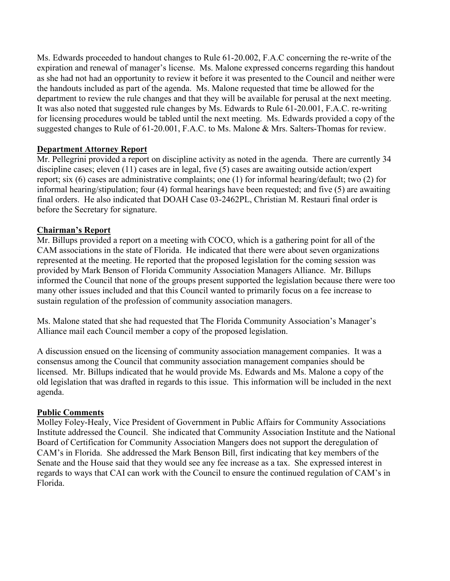Ms. Edwards proceeded to handout changes to Rule 61-20.002, F.A.C concerning the re-write of the expiration and renewal of manager's license. Ms. Malone expressed concerns regarding this handout as she had not had an opportunity to review it before it was presented to the Council and neither were the handouts included as part of the agenda. Ms. Malone requested that time be allowed for the department to review the rule changes and that they will be available for perusal at the next meeting. It was also noted that suggested rule changes by Ms. Edwards to Rule 61-20.001, F.A.C. re-writing for licensing procedures would be tabled until the next meeting. Ms. Edwards provided a copy of the suggested changes to Rule of 61-20.001, F.A.C. to Ms. Malone & Mrs. Salters-Thomas for review.

# **Department Attorney Report**

Mr. Pellegrini provided a report on discipline activity as noted in the agenda. There are currently 34 discipline cases; eleven (11) cases are in legal, five (5) cases are awaiting outside action/expert report; six (6) cases are administrative complaints; one (1) for informal hearing/default; two (2) for informal hearing/stipulation; four (4) formal hearings have been requested; and five (5) are awaiting final orders. He also indicated that DOAH Case 03-2462PL, Christian M. Restauri final order is before the Secretary for signature.

# **Chairman's Report**

Mr. Billups provided a report on a meeting with COCO, which is a gathering point for all of the CAM associations in the state of Florida. He indicated that there were about seven organizations represented at the meeting. He reported that the proposed legislation for the coming session was provided by Mark Benson of Florida Community Association Managers Alliance. Mr. Billups informed the Council that none of the groups present supported the legislation because there were too many other issues included and that this Council wanted to primarily focus on a fee increase to sustain regulation of the profession of community association managers.

Ms. Malone stated that she had requested that The Florida Community Association's Manager's Alliance mail each Council member a copy of the proposed legislation.

A discussion ensued on the licensing of community association management companies. It was a consensus among the Council that community association management companies should be licensed. Mr. Billups indicated that he would provide Ms. Edwards and Ms. Malone a copy of the old legislation that was drafted in regards to this issue. This information will be included in the next agenda.

# **Public Comments**

Molley Foley-Healy, Vice President of Government in Public Affairs for Community Associations Institute addressed the Council. She indicated that Community Association Institute and the National Board of Certification for Community Association Mangers does not support the deregulation of CAM's in Florida. She addressed the Mark Benson Bill, first indicating that key members of the Senate and the House said that they would see any fee increase as a tax. She expressed interest in regards to ways that CAI can work with the Council to ensure the continued regulation of CAM's in Florida.